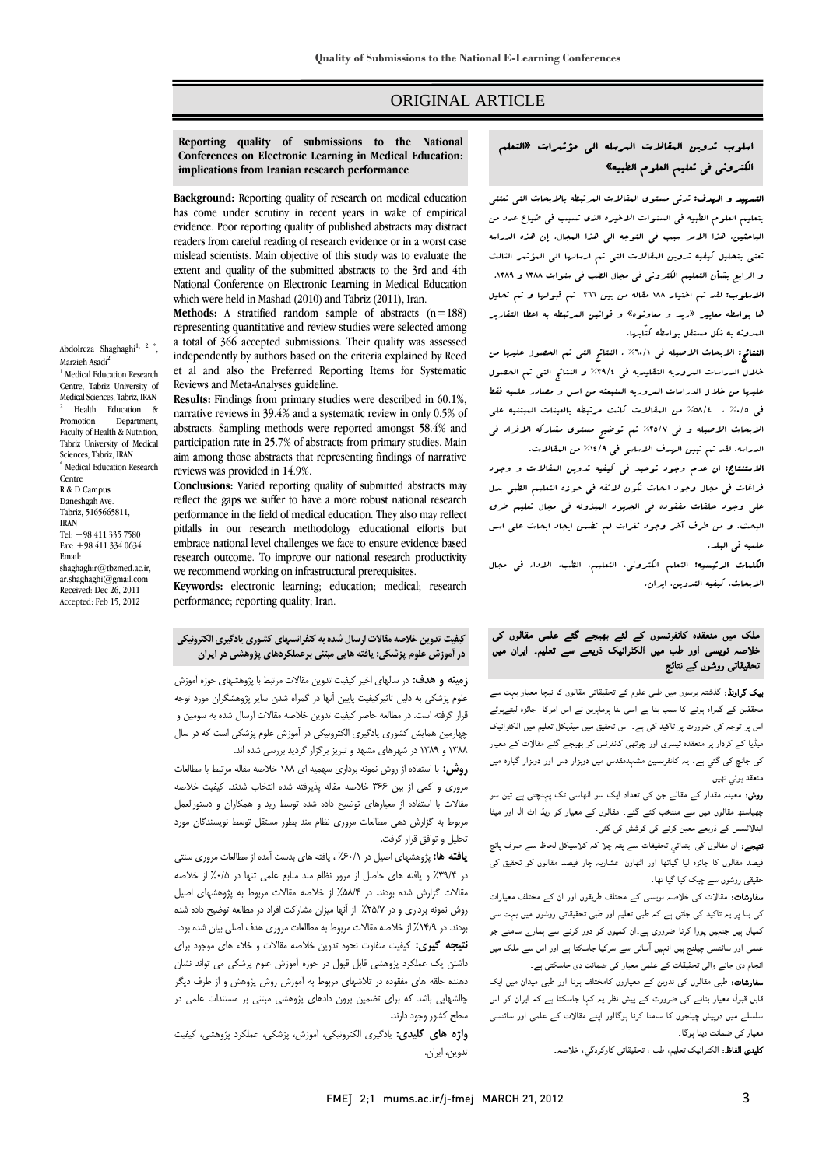### ORIGINAL ARTICLE

#### **Reporting quality of submissions to the National implications from Iranian research performance Conferences on Electronic Learning in Medical Education:**

Ī  $\overline{a}$ 

 **Background:** Reporting quality of research on medical education **EXECUTE:** The period of the come in the method is the community of the community of the community of the community of the community of the community of the community of the community of the community of the community of t evidence. Poor reporting quality of published abstracts may distract mislead scientists. Main objective of this study was to evaluate the extent and quality of the submitted abstracts to the 3rd and 4th National Conference on Electronic Learning in Medical Education readers from careful reading of research evidence or in a worst case which were held in Mashad (2010) and Tabriz (2011), Iran.

 **Methods:** A stratified random sample of abstracts (n=188) representing quantitative and review studies were selected among a total of 500 accepted submissions. Their quality was assessed<br>independently by authors based on the criteria explained by Reed et al and also the Preferred Reporting Items for Systematic a total of 366 accepted submissions. Their quality was assessed Reviews and Meta-Analyses guideline.

 **Results:** Findings from primary studies were described in 60.1%, narrative reviews in 39.4% and a systematic review in only 0.5% of abstracts. Sampling methods were reported amongst 58.4% and paracipation rate in 25.7% or abstracts from primary studies. Main<br>aim among those abstracts that representing findings of narrative participation rate in 25.7% of abstracts from primary studies. Main reviews was provided in 14.9%.

**Conclusions:** Varied reporting quality of submitted abstracts may all the concern of the concern of the concern performance in the field of medical education. They also may reflect pitfalls in our research methodology educational efforts but research outcome. To improve our national research productivity we recommend working on infrastructural prerequisites. reflect the gaps we suffer to have a more robust national research embrace national level challenges we face to ensure evidence based

 **Keywords:** electronic learning; education; medical; research performance; reporting quality; Iran.

## **كيفيت تدوين خلاصه مقالات ارسال شدهبه كنفرانسهاي كشوري يادگيري الكترونيكي در آموزش علوم پزشكي: يافته هايي مبتني برعملكردهاي پژوهشي در ايران**

 **زمينه و هدف:** در سالهاي اخير كيفيت تدوين مقالات مرتبط با پژوهشهاي حوزه آموزش علوم پزشكي به دليل تاثيركيفيت پايين آنها در گمراه شدن ساير پژوهشگران مورد توجه قرار گرفته است. در مطالعه حاضر كيفيت تدوين خلاصه مقالات ارسال شده به سومين و چهارمين همايش كشوري يادگيري الكترونيكي در آموزش علوم پزشكي است كه در سال 1388 و 1389 در شهرهاي مشهد و تبريز برگزار گرديد بررسي شده اند.

 **روش:** با استفاده از روش نمونه برداري سهميه اي 188 خلاصه مقاله مرتبط با مطالعات مروري و كمي از بين ۳۶۶ خلاصه مقاله پذيرفته شده انتخاب شدند. كيفيت خلاصه<br>مستحد مدند بدند م<br>ا مربوط به گزارش دهی مطالعات مروری نظام مند بطور مستقل توسط نویسندگان مورد<br>تحلیل متوافق قبل گیفت. مقالات با استفاده از معيارهاي توضيح داده شده توسط ريد و همكاران و دستورالعمل تحليل و توافق قرار گرفت.

 **يافته ها:** پژوهشهاي اصيل در %60/1 ، يافته هاي بدست آمده از مطالعات مروري سنتي در %39/4 و يافته هاي حاصل از مرور نظام مند منابع علمي تنها در %0/5 از خلاصه مقالات گزارش شده بودند. در %58/4 از خلاصه مقالات مربوط به پژوهشهاي اصيل روش نمونه برداري و در %25/7 از آنها ميزان مشاركت افراد در مطالعه توضيح داده شده بودند. در ۱۴/۹٪ از خلاصه مقالات مربوط به مطالعات مروری هدف اصلی بیان شده بود.<br>. **تبييت عيري.** تبييت ستوت تاتونا شوين حاجسه سادت و حادثا مدى موجود بزاى<br>داشتن يک عملکرد پژوهشى قابل قبول در حوزه آموزش علوم پزشکى مى تواند نشان ن <sub>ه</sub> مستقبر در تلاشهاي ماي مورد در تلاشهاي مورد در تلاشهاي مورد از از طرف ديگر<br>دهنده حلقه هاي مفقوده در تلاشهاي مربوط به آموزش روش پژوهش و از طرف ديگر .<br>چالشهايي باشد كه براي تضمين برون دادهاي پژوهشي مبتني بر مستندات علمي در **نتيجه گيري:** كيفيت متفاوت نحوه تدوين خلاصه مقالات و خلاء هاي موجود براي سطح كشور وجود دارند.

 **واژه هاي كليدي:** يادگيري الكترونيكي، آموزش، پزشكي، عملكرد پژوهشي، كيفيت تدوين، ايران.

# اسلوب تدوين المقالات المرسله الي مؤتمرات «التعلم الكتروني في تعليم العلوم الطبيه»

Ī  $\overline{a}$ 

.<br>لتسم**ييد و الرسف:** تدن<sub>ى</sub> مستوى البقالات البرتبطه بالابحاث التي تعتني بتعليم العلوم الطبيه في السنوات الاخيره الذي تسبب في ضياع عدد من الباحثين. هذا الامر سبب في التوجه الي هذا المجال. إن هذه الدراسه تعتي بتحليل كيفيه تدوين المقالات التي تم ارسالها الي المؤتمر الثالث و .<br>و الرابع بشأن التعليم الكتروني في مجال الطب في سنوات ١٣٨٨ و ١٢٨٩. الاسلوب: لقد تم اختيار 188 مقاله من بين 366 تم قبولها و تم تحليل ها بواسطه معايير «ريد و معاونوه» و قوانين المرتبطه به اعطا التقارير المدونه به شكل مستقل بواسطه كتّابها.

 النتائج: الابحاث الاصيله في %60/1 . النتائج التي تم الحصول عليها من خلال الدراسات المروريه التقليديه في %39/4 و النتائج التي تم الحصول عليها من خلال الدراسات المروريه المنبعثه من اسس و مصادر علميه فقط في %0/5 ، %58/4 من المقالات كانت مرتبطه بالعينات المبتنيه علي الابحاث الاصيله و في %25/7 تم توضيح مستوي مشاركه الافراد في الدراسه. لقد تم تبين الهدف الاساسي في %14/9 من المقالات.

 الاستنتاج: ان عدم وجود توحيد في كيفيه تدوين المقالات و وجود فراغات في مجال وجود ابحاث تكون لائقه في حوزه التعليم الطبي بدل علي وجود حلقات مفقوده في الجهود المبذوله في مجال تعليم طرق البحث. و من طرف آخر وجود ثغرات لم تضمن ايجاد ابحاث علي اسس علميه في البلد.

**لكلمات الرئيسيه:** التعلم الكتروني، التعليم، الطب، الاداء ف<sub>ي</sub> مجال<br>. الابحاث، كيفيه التدوين، ايران.

# ملک میں منعقدہ کانفرنسوں کے لئے بھیجے گئے علمی مقالوں کی خلاصہ نویسی اور طب میں الکٹرانیک ذریعے سے تعلیم۔ ایران میں تحقیقاتی روشوں کے نتائج

 بیک گراونڈ: گذشتہ برسوں میں طبی علوم کے تحقیقاتی مقالوں کا نیچا معیار بہت سے محققین کے گمراہ ہونے کا سبب بنا ہے اسی بنا پرماہرین نے اس امرکا جائزہ لیتےہوئے اس پر توجہ کی ضرورت پر تاکید کی ہے۔ اس تحقیق میں میڈیکل تعلیم میں الکٹرانیک کی جانچ کی گئي ہے۔ یہ کانفرنسین مشہدمقدس میں دوہزار دس اور دوہزار گيارہ میں<br>منعقد بوئہ تھیں۔ میڈیا کے کردار پر منعقدہ تیسری اور چوتھی کانفرنس کو بھیجے گئے مقالات کے معیار منعقد ہوئي تھیں۔

 روش: معینہ مقدار کے مقالے جن کی تعداد ایک سو اٹھاسی تک پہنچتی ہے تین سو چھیاسٹھ مقالوں میں سے منتخب کئے گئے۔ مقالوں کے معیار کو ریڈ اٹ ال اور میٹا اینالائسس کے ذریعے معین کرنے کی کوشش کی گئی۔

 نتیجے: ان مقالوں کی ابتدائي تحقیقات سے پتہ چلا کہ کلاسیکل لحاظ سے صرف پانچ ۔<br>حقیقی روشوں سے چیک کیا گیا تھا۔ فیصد مقالوں کا جائزہ لیا گياتھا اور اٹھاون اعشاریہ چار فیصد مقالوں کو تحقیق کی

۔<br>**سفارشات:** مقالات کی خلاصہ نویسی کے مختلف طریقوں اور ان کے مختلف معیارات کی بنا پر یہ تاکید کی جاتی ہے کہ طبی تعلیم اور طبی تحقیقاتی روشوں میں بہت سی کمیاں ہیں جنہیں پورا کرنا ضروری ہے۔ان کمیوں کو دور کرنے سے ہمارے سامنے جو علمی اور سائنسی چیلنج ہیں انہیں آسانی سے سرکیا جاسکتا ہے اور اس سے ملک میں انجام دی جانے والی تحقیقات کے علمی معیار کی ضمانت دی جاسکتی ہے۔

سبح سی بسے وہی معییات سے مسی سیار سی صنعت میں بستمبی ہے۔<br>**سفارشات:** طبی مقالوں کی تدوین کے معیاروں کامختلف ہونا اور طبی میدان میں ایک قابل قبول معیار بنانے کی ضرورت کے پیش نظر یہ کہا جاسکتا ہے کہ ایران کو اس سلسلے میں درپیش چیلجوں کا سامنا کرنا ہوگااور اپنے مقالات کے علمی اور سائنسی معیار کی ضمانت دینا ہوگا۔

**کلیدی الفاظ:** الکٹرانیک تعلیم، طب ، تحقیقاتی کارکردگي، خلاصہ۔<br>-

Abdolreza Shaghaghi $^{1, 2, *}$ .<br>, Marzieh Asadi<sup>2</sup> <sup>1</sup> Medical Education Research Centre, Tabriz University of

Medical Sciences, Tabriz, IRAN <sup>2</sup> Health Education & Promotion Department, Faculty of Health & Nutrition, Tabriz University of Medical Sciences, Tabriz, IRAN \* Medical Education Research Centre R & D Campus Daneshgah Ave. Tabriz, 5165665811, IRAN Tel: +98 411 335 7580 Fax: +98 411 334 0634 Email: shaghaghir@tbzmed.ac.ir, ar.shaghaghi@gmail.com Received: Dec 26, 2011

Accepted: Feb 15, 2012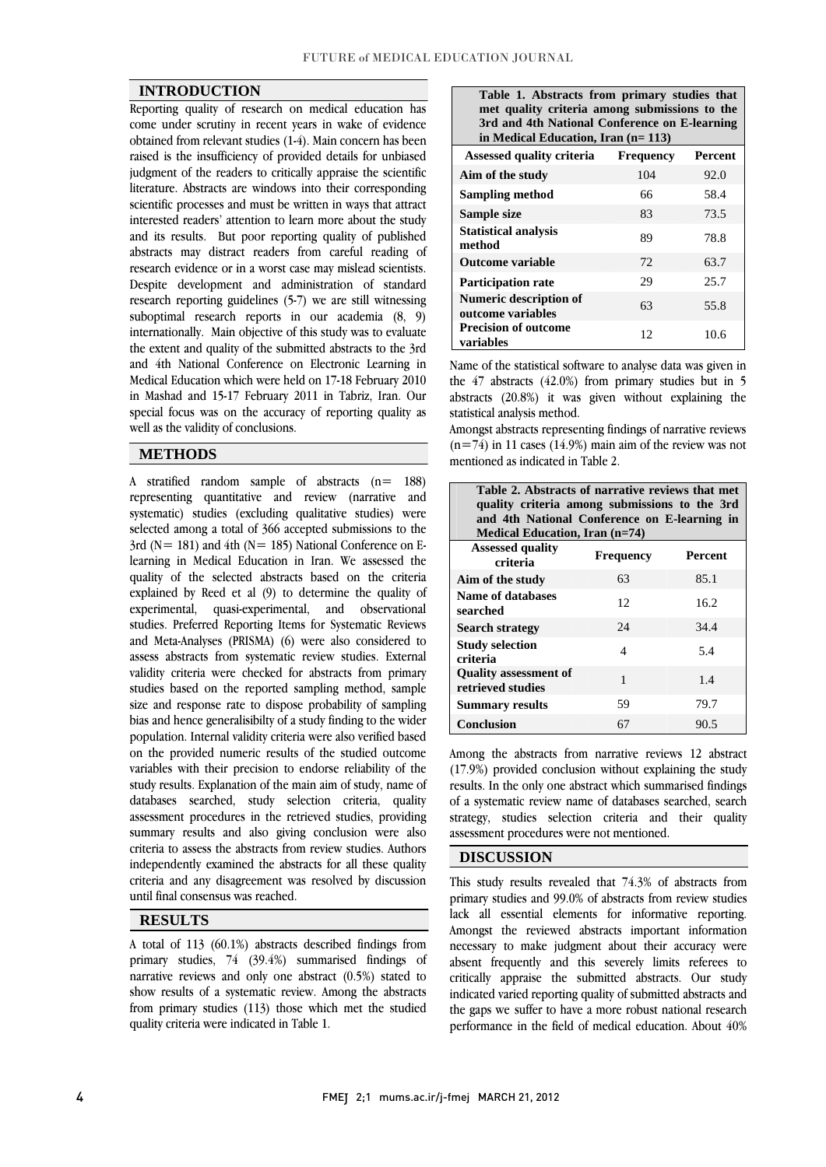#### **INTRODUCTION**

 Reporting quality of research on medical education has come under scrutiny in recent years in wake of evidence  $\frac{1}{2}$  contained from relevant studies  $(1-1)$ . Main concern has been judgment of the readers to critically appraise the scientific literature. Abstracts are windows into their corresponding scientific processes and must be written in ways that attract and its results. But poor reporting quality of published abstracts may distract readers from careful reading of research evidence or in a worst case may mislead scientists. Despite development and administration of standard suboptimal research reports in our academia  $(8, 9)$  internationally. Main objective of this study was to evaluate the extent and quality of the submitted abstracts to the 3rd and 4th National Conference on Electronic Learning in in Mashad and 15-17 February 2011 in Tabriz, Iran. Our special focus was on the accuracy of reporting quality as obtained from relevant studies (1-4). Main concern has been interested readers' attention to learn more about the study research reporting guidelines (5-7) we are still witnessing Medical Education which were held on 17-18 February 2010 well as the validity of conclusions.

#### **METHODS**

 A stratified random sample of abstracts (n= 188) representing quantitative and review (narrative and review) systematic) studies (excluding qualitative studies) were selected among a total of 366 accepted submissions to the  $3rd$  ( $N = 181$ ) and  $4th$  ( $N = 185$ ) National Conference on E- quality of the selected abstracts based on the criteria explained by Reed et al (9) to determine the quality of experimental, quasi-experimental, and observational studies. Preferred Reporting Items for Systematic Reviews assess abstracts from systematic review studies. External validity criteria were checked for abstracts from primary studies based on the reported sampling method, sample size and response rate to uspose probability of sampling<br>bias and hence generalisibilty of a study finding to the wider population. Internal validity criteria were also verified based on the provided numeric results of the studied outcome variables with their precision to endorse reliability of the databases searched, study selection criteria, quality assessment procedures in the retrieved studies, providing summary results and also giving conclusion were also criteria to assess the abstracts from review studies. Authors criteria and any disagreement was resolved by discussion learning in Medical Education in Iran. We assessed the and Meta-Analyses (PRISMA) (6) were also considered to size and response rate to dispose probability of sampling study results. Explanation of the main aim of study, name of independently examined the abstracts for all these quality until final consensus was reached.

### **RESULTS**

 A total of 113 (60.1%) abstracts described findings from primary studies, 74 (39.4%) summarised findings of narrative reviews and only one abstract (0.5%) stated to show results of a systematic review. Among the abstracts from primary studies (113) those which met the studied quality criteria were indicated in Table 1.

| Table 1. Abstracts from primary studies that<br>met quality criteria among submissions to the<br>3rd and 4th National Conference on E-learning<br>in Medical Education, Iran (n= 113) |     |                |  |
|---------------------------------------------------------------------------------------------------------------------------------------------------------------------------------------|-----|----------------|--|
| <b>Assessed quality criteria Frequency</b>                                                                                                                                            |     | <b>Percent</b> |  |
| Aim of the study                                                                                                                                                                      | 104 | 92.0           |  |
| <b>Sampling method</b>                                                                                                                                                                | 66  | 58.4           |  |
| Sample size                                                                                                                                                                           | 83  | 73.5           |  |
| <b>Statistical analysis</b><br>method                                                                                                                                                 | 89  | 78.8           |  |
| <b>Outcome variable</b>                                                                                                                                                               | 72  | 63.7           |  |
| <b>Participation rate</b>                                                                                                                                                             | 29  | 25.7           |  |
| <b>Numeric description of</b><br>outcome variables                                                                                                                                    | 63  | 55.8           |  |
| <b>Precision of outcome</b><br>variables                                                                                                                                              | 12  | 10.6           |  |

Name of the statistical software to analyse data was given in abstracts (20.8%) it was given without explaining the the 47 abstracts (42.0%) from primary studies but in 5 statistical analysis method.

 Amongst abstracts representing findings of narrative reviews  $(n=74)$  in 11 cases (14.9%) main aim of the review was not mentioned as indicated in Table 2.

| Table 2. Abstracts of narrative reviews that met<br>quality criteria among submissions to the 3rd<br>and 4th National Conference on E-learning in<br><b>Medical Education, Iran (n=74)</b> |                  |                |  |
|--------------------------------------------------------------------------------------------------------------------------------------------------------------------------------------------|------------------|----------------|--|
| <b>Assessed quality</b><br>criteria                                                                                                                                                        | <b>Frequency</b> | <b>Percent</b> |  |
| Aim of the study                                                                                                                                                                           | 63               | 85.1           |  |
| Name of databases<br>searched                                                                                                                                                              | 12               | 16.2           |  |
| <b>Search strategy</b>                                                                                                                                                                     | 24               | 34.4           |  |
| <b>Study selection</b><br>criteria                                                                                                                                                         | 4                | 5.4            |  |
| <b>Quality</b> assessment of<br>retrieved studies                                                                                                                                          | 1                | 1.4            |  |
| <b>Summary results</b>                                                                                                                                                                     | 59               | 79.7           |  |
| <b>Conclusion</b>                                                                                                                                                                          | 67               | 90.5           |  |

 Among the abstracts from narrative reviews 12 abstract (17.9%) provided conclusion without explaining the study of a systematic review name of databases searched, search strategy, studies selection criteria and their quality results. In the only one abstract which summarised findings assessment procedures were not mentioned.

#### **DISCUSSION**

 This study results revealed that 74.3% of abstracts from primary studies and 99.0% of abstracts from review studies lack all essential elements for informative reporting. Amongst the reviewed abstracts important information absent frequently and this severely limits referees to critically appraise the submitted abstracts. Our study indicated varied reporting quality of submitted abstracts and the gaps we suffer to have a more robust national research performance in the field of medical education. About 40% necessary to make judgment about their accuracy were

Ī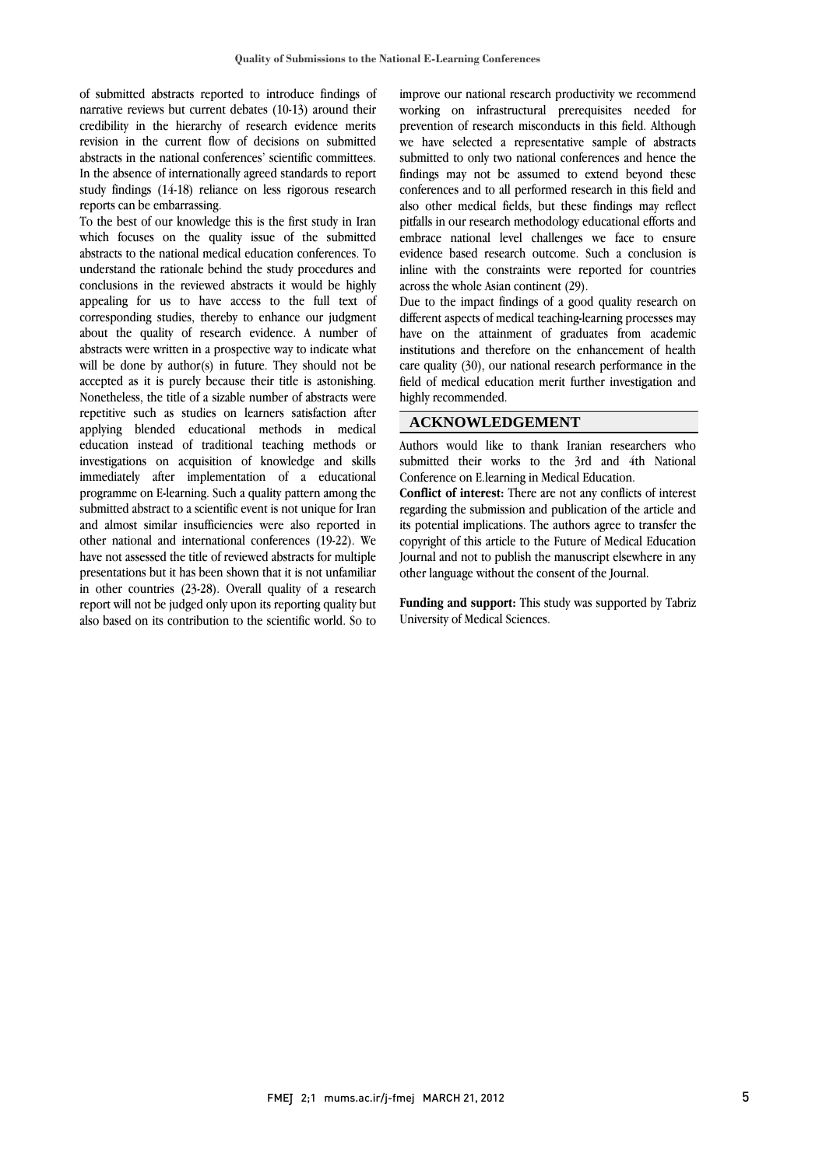of submitted abstracts reported to introduce findings of narrative reviews but current debates (10-13) around their credibility in the hierarchy of research evidence merits revision in the current flow of decisions on submitted In the absence of internationally agreed standards to report study findings (14-18) reliance on less rigorous research abstracts in the national conferences' scientific committees. reports can be embarrassing.

 which focuses on the quality issue of the submitted abstracts to the national medical education conferences. To understand the rationale behind the study procedures and conclusions in the reviewed abstracts it would be highly corresponding studies, thereby to enhance our judgment about the quality of research evidence. A number of abstracts were written in a prospective way to indicate what will be done by author(s) in future. They should not be Nonetheless, the title of a sizable number of abstracts were repetitive such as studies on learners satisfaction after applying blended educational methods in medical education instead of traditional teaching methods or immediately after implementation of a educational programme on E-learning. Such a quality pattern among the submitted abstract to a scientific event is not unique for Iran and almost similar insulficiencies were also reported in<br>other national and international conferences (19-22). We have not assessed the title of reviewed abstracts for multiple presentations but it has been shown that it is not unfamiliar in other countries (23-28). Overall quality of a research report will not be judged only upon its reporting quality but<br>also based on its contribution to the scientific world. So to To the best of our knowledge this is the first study in Iran appealing for us to have access to the full text of accepted as it is purely because their title is astonishing. investigations on acquisition of knowledge and skills and almost similar insufficiencies were also reported in report will not be judged only upon its reporting quality but

 improve our national research productivity we recommend working on infrastructural prerequisites needed for prevention of research misconducts in this field. Although we have selected a representative sample of abstracts findings may not be assumed to extend beyond these also other medical fields, but these findings may reflect embrace national level challenges we face to ensure evidence based research outcome. Such a conclusion is inline with the constraints were reported for countries submitted to only two national conferences and hence the conferences and to all performed research in this field and pitfalls in our research methodology educational efforts and across the whole Asian continent (29).

across the whole Asian continent (29).<br>Due to the impact findings of a good quality research on different aspects of medical teaching-learning processes may have on the attainment of graduates from academic institutions and therefore on the enhancement of health care quality (30), our national research performance in the field of medical education merit further investigation and<br>highly recommended  $\overline{a}$ highly recommended.

### **ACKNOWLEDGEMENT**

 $\mathbf{R}$ submitted their works to the 3rd and 4th National<br>Conference on Elearning in Medical Education Authors would like to thank Iranian researchers who Conference on E.learning in Medical Education.

 $\overline{a}$ 

 **Conflict of interest:** There are not any conflicts of interest regarding the submission and publication of the article and its potential implications. The authors agree to transfer the<br>copyright of this article to the Future of Medical Education Journal and not to publish the manuscript elsewhere in any its potential implications. The authors agree to transfer the other language without the consent of the Journal.

 $\ddot{\phantom{a}}$  **Funding and support:** This study was supported by Tabriz University of Medical Sciences.